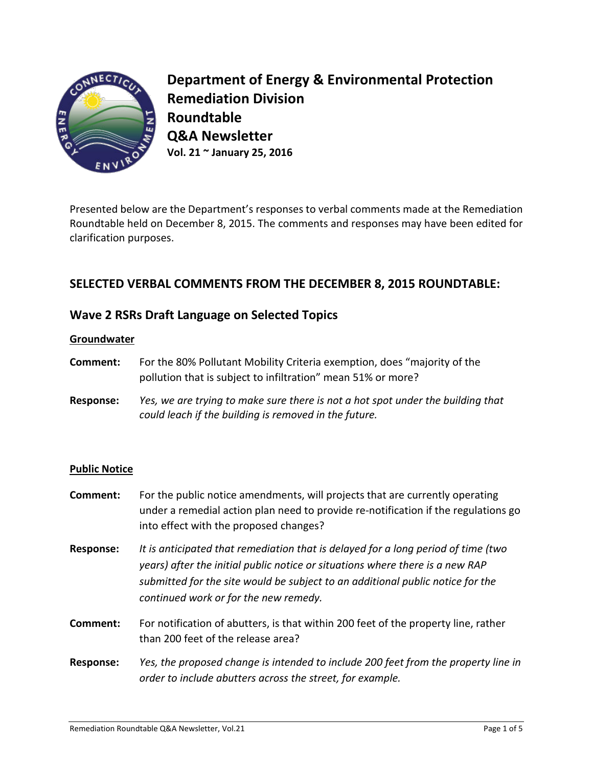

**Department of Energy & Environmental Protection Remediation Division Roundtable Q&A Newsletter Vol. 21 ~ January 25, 2016**

Presented below are the Department's responses to verbal comments made at the Remediation Roundtable held on December 8, 2015. The comments and responses may have been edited for clarification purposes.

# **SELECTED VERBAL COMMENTS FROM THE DECEMBER 8, 2015 ROUNDTABLE:**

# **Wave 2 RSRs Draft Language on Selected Topics**

## **Groundwater**

- **Comment:** For the 80% Pollutant Mobility Criteria exemption, does "majority of the pollution that is subject to infiltration" mean 51% or more?
- **Response:** *Yes, we are trying to make sure there is not a hot spot under the building that could leach if the building is removed in the future.*

## **Public Notice**

- **Comment:** For the public notice amendments, will projects that are currently operating under a remedial action plan need to provide re-notification if the regulations go into effect with the proposed changes?
- **Response:** *It is anticipated that remediation that is delayed for a long period of time (two years) after the initial public notice or situations where there is a new RAP submitted for the site would be subject to an additional public notice for the continued work or for the new remedy.*
- **Comment:** For notification of abutters, is that within 200 feet of the property line, rather than 200 feet of the release area?
- **Response:** *Yes, the proposed change is intended to include 200 feet from the property line in order to include abutters across the street, for example.*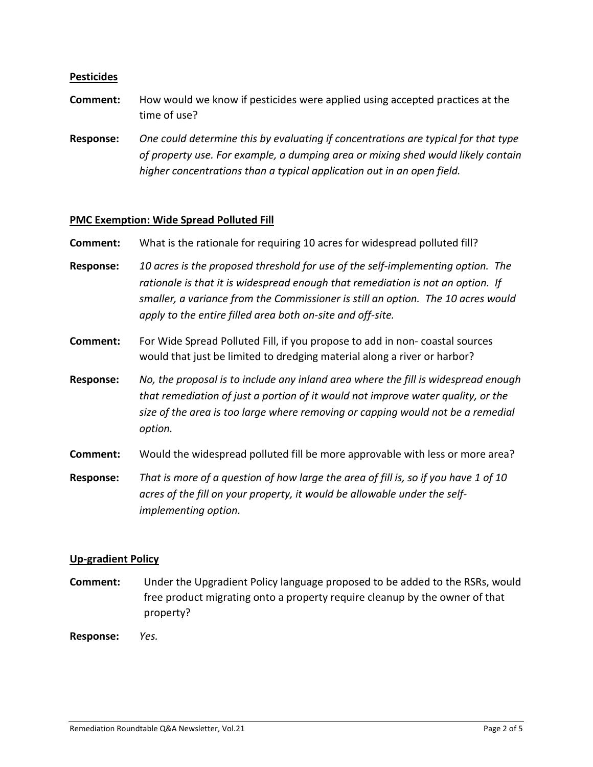### **Pesticides**

- **Comment:** How would we know if pesticides were applied using accepted practices at the time of use?
- **Response:** *One could determine this by evaluating if concentrations are typical for that type of property use. For example, a dumping area or mixing shed would likely contain higher concentrations than a typical application out in an open field.*

#### **PMC Exemption: Wide Spread Polluted Fill**

**Comment:** What is the rationale for requiring 10 acres for widespread polluted fill?

- **Response:** *10 acres is the proposed threshold for use of the self-implementing option. The rationale is that it is widespread enough that remediation is not an option. If smaller, a variance from the Commissioner is still an option. The 10 acres would apply to the entire filled area both on-site and off-site.*
- **Comment:** For Wide Spread Polluted Fill, if you propose to add in non- coastal sources would that just be limited to dredging material along a river or harbor?
- **Response:** *No, the proposal is to include any inland area where the fill is widespread enough that remediation of just a portion of it would not improve water quality, or the size of the area is too large where removing or capping would not be a remedial option.*
- **Comment:** Would the widespread polluted fill be more approvable with less or more area?
- **Response:** *That is more of a question of how large the area of fill is, so if you have 1 of 10 acres of the fill on your property, it would be allowable under the selfimplementing option.*

#### **Up-gradient Policy**

**Comment:** Under the Upgradient Policy language proposed to be added to the RSRs, would free product migrating onto a property require cleanup by the owner of that property?

**Response:** *Yes.*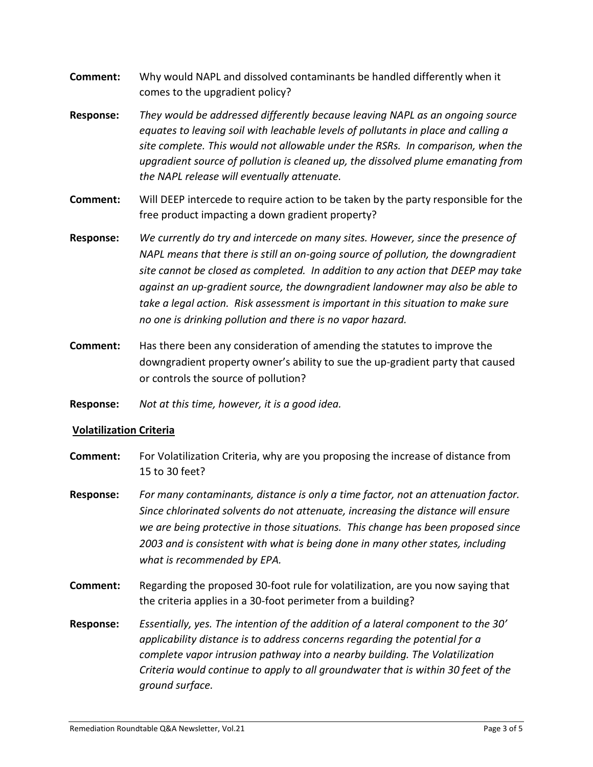- **Comment:** Why would NAPL and dissolved contaminants be handled differently when it comes to the upgradient policy?
- **Response:** *They would be addressed differently because leaving NAPL as an ongoing source equates to leaving soil with leachable levels of pollutants in place and calling a site complete. This would not allowable under the RSRs. In comparison, when the upgradient source of pollution is cleaned up, the dissolved plume emanating from the NAPL release will eventually attenuate.*
- **Comment:** Will DEEP intercede to require action to be taken by the party responsible for the free product impacting a down gradient property?
- **Response:** *We currently do try and intercede on many sites. However, since the presence of NAPL means that there is still an on-going source of pollution, the downgradient site cannot be closed as completed. In addition to any action that DEEP may take against an up-gradient source, the downgradient landowner may also be able to take a legal action. Risk assessment is important in this situation to make sure no one is drinking pollution and there is no vapor hazard.*
- **Comment:** Has there been any consideration of amending the statutes to improve the downgradient property owner's ability to sue the up-gradient party that caused or controls the source of pollution?
- **Response:** *Not at this time, however, it is a good idea.*

## **Volatilization Criteria**

- **Comment:** For Volatilization Criteria, why are you proposing the increase of distance from 15 to 30 feet?
- **Response:** *For many contaminants, distance is only a time factor, not an attenuation factor. Since chlorinated solvents do not attenuate, increasing the distance will ensure we are being protective in those situations. This change has been proposed since 2003 and is consistent with what is being done in many other states, including what is recommended by EPA.*
- **Comment:** Regarding the proposed 30-foot rule for volatilization, are you now saying that the criteria applies in a 30-foot perimeter from a building?
- **Response:** *Essentially, yes. The intention of the addition of a lateral component to the 30' applicability distance is to address concerns regarding the potential for a complete vapor intrusion pathway into a nearby building. The Volatilization Criteria would continue to apply to all groundwater that is within 30 feet of the ground surface.*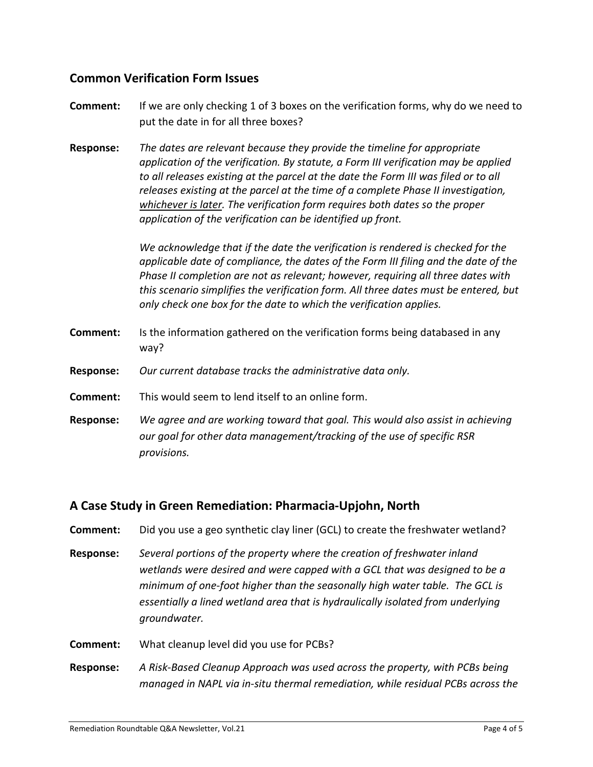# **Common Verification Form Issues**

- **Comment:** If we are only checking 1 of 3 boxes on the verification forms, why do we need to put the date in for all three boxes?
- **Response:** *The dates are relevant because they provide the timeline for appropriate application of the verification. By statute, a Form III verification may be applied*  to all releases existing at the parcel at the date the Form III was filed or to all *releases existing at the parcel at the time of a complete Phase II investigation, whichever is later. The verification form requires both dates so the proper application of the verification can be identified up front.*

*We acknowledge that if the date the verification is rendered is checked for the applicable date of compliance, the dates of the Form III filing and the date of the Phase II completion are not as relevant; however, requiring all three dates with this scenario simplifies the verification form. All three dates must be entered, but only check one box for the date to which the verification applies.*

- **Comment:** Is the information gathered on the verification forms being databased in any way?
- **Response:** *Our current database tracks the administrative data only.*
- **Comment:** This would seem to lend itself to an online form.
- **Response:** *We agree and are working toward that goal. This would also assist in achieving our goal for other data management/tracking of the use of specific RSR provisions.*

# **A Case Study in Green Remediation: Pharmacia-Upjohn, North**

- **Comment:** Did you use a geo synthetic clay liner (GCL) to create the freshwater wetland?
- **Response:** *Several portions of the property where the creation of freshwater inland wetlands were desired and were capped with a GCL that was designed to be a minimum of one-foot higher than the seasonally high water table. The GCL is essentially a lined wetland area that is hydraulically isolated from underlying groundwater.*
- **Comment:** What cleanup level did you use for PCBs?
- **Response:** *A Risk-Based Cleanup Approach was used across the property, with PCBs being managed in NAPL via in-situ thermal remediation, while residual PCBs across the*